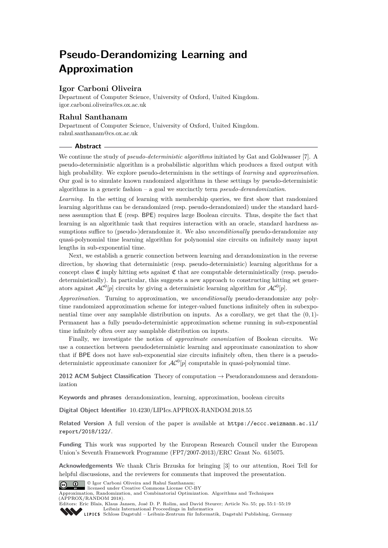# **Pseudo-Derandomizing Learning and Approximation**

# **Igor Carboni Oliveira**

Department of Computer Science, University of Oxford, United Kingdom. [igor.carboni.oliveira@cs.ox.ac.uk](mailto:igor.carboni.oliveira@cs.ox.ac.uk)

# **Rahul Santhanam**

Department of Computer Science, University of Oxford, United Kingdom. [rahul.santhanam@cs.ox.ac.uk](mailto:rahul.santhanam@cs.ox.ac.uk)

# **Abstract**

We continue the study of *pseudo-deterministic algorithms* initiated by Gat and Goldwasser [\[7\]](#page-12-0). A pseudo-deterministic algorithm is a probabilistic algorithm which produces a fixed output with high probability. We explore pseudo-determinism in the settings of *learning* and *approximation*. Our goal is to simulate known randomized algorithms in these settings by pseudo-deterministic algorithms in a generic fashion – a goal we succinctly term *pseudo-derandomization*.

*Learning.* In the setting of learning with membership queries, we first show that randomized learning algorithms can be derandomized (resp. pseudo-derandomized) under the standard hardness assumption that E (resp. BPE) requires large Boolean circuits. Thus, despite the fact that learning is an algorithmic task that requires interaction with an oracle, standard hardness assumptions suffice to (pseudo-)derandomize it. We also *unconditionally* pseudo-derandomize any quasi-polynomial time learning algorithm for polynomial size circuits on infinitely many input lengths in sub-exponential time.

Next, we establish a generic connection between learning and derandomization in the reverse direction, by showing that deterministic (resp. pseudo-deterministic) learning algorithms for a concept class  $\mathfrak C$  imply hitting sets against  $\mathfrak C$  that are computable deterministically (resp. pseudodeterministically). In particular, this suggests a new approach to constructing hitting set generators against  $AC^0[p]$  circuits by giving a deterministic learning algorithm for  $AC^0[p]$ .

*Approximation.* Turning to approximation, we *unconditionally* pseudo-derandomize any polytime randomized approximation scheme for integer-valued functions infinitely often in subexponential time over any samplable distribution on inputs. As a corollary, we get that the (0*,* 1)- Permanent has a fully pseudo-deterministic approximation scheme running in sub-exponential time infinitely often over any samplable distribution on inputs.

Finally, we investigate the notion of *approximate canonization* of Boolean circuits. We use a connection between pseudodeterministic learning and approximate canonization to show that if BPE does not have sub-exponential size circuits infinitely often, then there is a pseudodeterministic approximate canonizer for  $AC^0[p]$  computable in quasi-polynomial time.

**2012 ACM Subject Classification** Theory of computation → Pseudorandomness and derandomization

**Keywords and phrases** derandomization, learning, approximation, boolean circuits

**Digital Object Identifier** [10.4230/LIPIcs.APPROX-RANDOM.2018.55](http://dx.doi.org/10.4230/LIPIcs.APPROX-RANDOM.2018.55)

**Related Version** A full version of the paper is available at [https://eccc.weizmann.ac.il/](https://eccc.weizmann.ac.il/report/2018/122/) [report/2018/122/](https://eccc.weizmann.ac.il/report/2018/122/).

**Funding** This work was supported by the European Research Council under the European Union's Seventh Framework Programme (FP7/2007-2013)/ERC Grant No. 615075.

**Acknowledgements** We thank Chris Brzuska for bringing [\[3\]](#page-12-1) to our attention, Roei Tell for helpful discussions, and the reviewers for comments that improved the presentation.



<sup>©</sup> Igor Carboni Oliveira and Rahul Santhanam; licensed under Creative Commons License CC-BY

Approximation, Randomization, and Combinatorial Optimization. Algorithms and Techniques (APPROX/RANDOM 2018).

Editors: Eric Blais, Klaus Jansen, José D. P. Rolim, and David Steurer; Article No. 55; pp. 55:1–55[:19](#page-18-0) [Leibniz International Proceedings in Informatics](http://www.dagstuhl.de/lipics/)

[Schloss Dagstuhl – Leibniz-Zentrum für Informatik, Dagstuhl Publishing, Germany](http://www.dagstuhl.de)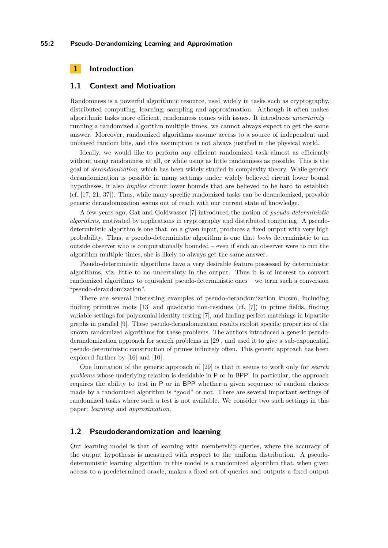# **1 Introduction**

## **1.1 Context and Motivation**

Randomness is a powerful algorithmic resource, used widely in tasks such as cryptography, distributed computing, learning, sampling and approximation. Although it often makes algorithmic tasks more efficient, randomness comes with issues. It introduces *uncertainty* – running a randomized algorithm multiple times, we cannot always expect to get the same answer. Moreover, randomized algorithms assume access to a source of independent and unbiased random bits, and this assumption is not always justified in the physical world.

Ideally, we would like to perform any efficient randomized task almost as efficiently without using randomness at all, or while using as little randomness as possible. This is the goal of *derandomization*, which has been widely studied in complexity theory. While generic derandomization is possible in many settings under widely believed circuit lower bound hypotheses, it also *implies* circuit lower bounds that are believed to be hard to establish (cf. [\[17,](#page-12-2) [21,](#page-13-0) [37\]](#page-13-1)). Thus, while many specific randomized tasks can be derandomized, provable generic derandomization seems out of reach with our current state of knowledge.

A few years ago, Gat and Goldwasser [\[7\]](#page-12-0) introduced the notion of *pseudo-deterministic algorithms*, motivated by applications in cryptography and distributed computing. A pseudodeterministic algorithm is one that, on a given input, produces a fixed output with very high probability. Thus, a pseudo-deterministic algorithm is one that *looks* deterministic to an outside observer who is computationally bounded – even if such an observer were to run the algorithm multiple times, she is likely to always get the same answer.

Pseudo-deterministic algorithms have a very desirable feature possessed by deterministic algorithms, viz. little to no uncertainty in the output. Thus it is of interest to convert randomized algorithms to equivalent pseudo-deterministic ones – we term such a conversion "pseudo-derandomization".

There are several interesting examples of pseudo-derandomization known, including finding primitive roots [\[13\]](#page-12-3) and quadratic non-residues (cf. [\[7\]](#page-12-0)) in prime fields, finding variable settings for polynomial identity testing [\[7\]](#page-12-0), and finding perfect matchings in bipartite graphs in parallel [\[9\]](#page-12-4). These pseudo-derandomization results exploit specific properties of the known randomized algorithms for these problems. The authors introduced a generic pseudoderandomization approach for search problems in [\[29\]](#page-13-2), and used it to give a sub-exponential pseudo-deterministic construction of primes infinitely often. This generic approach has been explored further by [\[16\]](#page-12-5) and [\[10\]](#page-12-6).

One limitation of the generic approach of [\[29\]](#page-13-2) is that it seems to work only for *search problems* whose underlying relation is decidable in P or in BPP. In particular, the approach requires the ability to test in P or in BPP whether a given sequence of random choices made by a randomized algorithm is "good" or not. There are several important settings of randomized tasks where such a test is not available. We consider two such settings in this paper: *learning* and *approximation*.

# **1.2 Pseudoderandomization and learning**

Our learning model is that of learning with membership queries, where the accuracy of the output hypothesis is measured with respect to the uniform distribution. A pseudodeterministic learning algorithm in this model is a randomized algorithm that, when given access to a predetermined oracle, makes a fixed set of queries and outputs a fixed output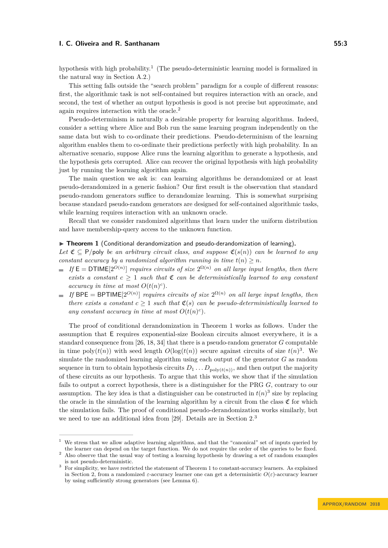hypothesis with high probability.<sup>[1](#page-2-0)</sup> (The pseudo-deterministic learning model is formalized in the natural way in Section [A.2.](#page-15-0))

This setting falls outside the "search problem" paradigm for a couple of different reasons: first, the algorithmic task is not self-contained but requires interaction with an oracle, and second, the test of whether an output hypothesis is good is not precise but approximate, and again requires interaction with the oracle.[2](#page-2-1)

Pseudo-determinism is naturally a desirable property for learning algorithms. Indeed, consider a setting where Alice and Bob run the same learning program independently on the same data but wish to co-ordinate their predictions. Pseudo-determinism of the learning algorithm enables them to co-ordinate their predictions perfectly with high probability. In an alternative scenario, suppose Alice runs the learning algorithm to generate a hypothesis, and the hypothesis gets corrupted. Alice can recover the original hypothesis with high probability just by running the learning algorithm again.

The main question we ask is: can learning algorithms be derandomized or at least pseudo-derandomized in a generic fashion? Our first result is the observation that standard pseudo-random generators suffice to derandomize learning. This is somewhat surprising because standard pseudo-random generators are designed for self-contained algorithmic tasks, while learning requires interaction with an unknown oracle.

Recall that we consider randomized algorithms that learn under the uniform distribution and have membership-query access to the unknown function.

# <span id="page-2-2"></span>▶ Theorem 1 (Conditional derandomization and pseudo-derandomization of learning).

*Let*  $\mathfrak{C} \subseteq \mathsf{P/poly}$  *be an arbitrary circuit class, and suppose*  $\mathfrak{C}(s(n))$  *can be learned to any constant accuracy by a randomized algorithm running in time*  $t(n) \geq n$ *.* 

- *If*  $E = DTIME[2^{O(n)}]$  *requires circuits of size*  $2^{\Omega(n)}$  *on all large input lengths, then there exists a constant*  $c > 1$  *such that*  $\mathfrak{C}$  *can be deterministically learned to any constant accuracy in time at most*  $O(t(n)^c)$ *.*
- If  $BPE = BPTIME[2^{O(n)}]$  *requires circuits of size*  $2^{\Omega(n)}$  *on all large input lengths, then there exists a constant*  $c > 1$  *such that*  $\mathfrak{C}(s)$  *can be pseudo-deterministically learned to* any constant accuracy in time at most  $O(t(n)^c)$ .

The proof of conditional derandomization in Theorem [1](#page-2-2) works as follows. Under the assumption that E requires exponential-size Boolean circuits almost everywhere, it is a standard consequence from [\[26,](#page-13-3) [18,](#page-13-4) [34\]](#page-13-5) that there is a pseudo-random generator *G* computable in time poly $(t(n))$  with seed length  $O(\log(t(n))$  secure against circuits of size  $t(n)^3$ . We simulate the randomized learning algorithm using each output of the generator *G* as random sequence in turn to obtain hypothesis circuits  $D_1 \ldots D_{\text{poly}(t(n))}$ , and then output the majority of these circuits as our hypothesis. To argue that this works, we show that if the simulation fails to output a correct hypothesis, there is a distinguisher for the PRG *G*, contrary to our assumption. The key idea is that a distinguisher can be constructed in  $t(n)^3$  size by replacing the oracle in the simulation of the learning algorithm by a circuit from the class  $\mathfrak C$  for which the simulation fails. The proof of conditional pseudo-derandomization works similarly, but we need to use an additional idea from [\[29\]](#page-13-2). Details are in Section [2.](#page-6-0)[3](#page-2-3)

<span id="page-2-0"></span><sup>1</sup> We stress that we allow adaptive learning algorithms, and that the "canonical" set of inputs queried by the learner can depend on the target function. We do not require the order of the queries to be fixed.

<span id="page-2-1"></span><sup>&</sup>lt;sup>2</sup> Also observe that the usual way of testing a learning hypothesis by drawing a set of random examples is not pseudo-deterministic.

<span id="page-2-3"></span><sup>3</sup> For simplicity, we have restricted the statement of Theorem [1](#page-2-2) to constant-accuracy learners. As explained in Section [2,](#page-6-0) from a randomized *ε*-accuracy learner one can get a deterministic  $O(\varepsilon)$ -accuracy learner by using sufficiently strong generators (see Lemma [6\)](#page-6-1).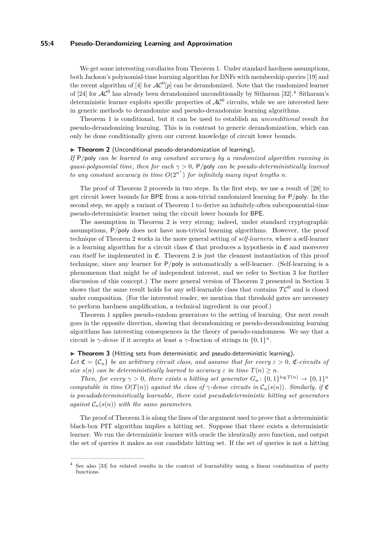## **55:4 Pseudo-Derandomizing Learning and Approximation**

We get some interesting corollaries from Theorem [1.](#page-2-2) Under standard hardness assumptions, both Jackson's polynomial-time learning algorithm for DNFs with membership queries [\[19\]](#page-13-6) and the recent algorithm of [\[4\]](#page-12-7) for  $AC^0[p]$  can be derandomized. Note that the randomized learner of [\[24\]](#page-13-7) for  $AC^0$  has already been derandomized unconditionally by Sitharam [\[32\]](#page-13-8).<sup>[4](#page-3-0)</sup> Sitharam's deterministic learner exploits specific properties of  $AC^0$  circuits, while we are interested here in generic methods to derandomize and pseudo-derandomize learning algorithms.

Theorem [1](#page-2-2) is conditional, but it can be used to establish an *unconditional* result for pseudo-derandomizing learning. This is in contrast to generic derandomization, which can only be done conditionally given our current knowledge of circuit lower bounds.

## <span id="page-3-1"></span>▶ Theorem 2 (Unconditional pseudo-derandomization of learning).

*If* P*/*poly *can be learned to any constant accuracy by a randomized algorithm running in quasi-polynomial time, then for each γ >* 0*,* P*/*poly *can be pseudo-deterministically learned to any constant accuracy in time*  $O(2^{n^{\gamma}})$  *for infinitely many input lengths n.* 

The proof of Theorem [2](#page-3-1) proceeds in two steps. In the first step, we use a result of [\[28\]](#page-13-9) to get circuit lower bounds for BPE from a non-trivial randomized learning for P*/*poly. In the second step, we apply a variant of Theorem [1](#page-2-2) to derive an infinitely-often subexponential-time pseudo-deterministic learner using the circuit lower bounds for BPE.

The assumption in Theorem [2](#page-3-1) is very strong; indeed, under standard cryptographic assumptions, P*/*poly does not have non-trivial learning algorithms. However, the proof technique of Theorem [2](#page-3-1) works in the more general setting of *self-learners*, where a self-learner is a learning algorithm for a circuit class  $\mathfrak C$  that produces a hypothesis in  $\mathfrak C$  and moreover can itself be implemented in  $\mathfrak{C}$ . Theorem [2](#page-3-1) is just the cleanest instantiation of this proof technique, since any learner for P*/*poly is automatically a self-learner. (Self-learning is a phenomenon that might be of independent interest, and we refer to Section [3](#page-9-0) for further discussion of this concept.) The more general version of Theorem [2](#page-3-1) presented in Section [3](#page-9-0) shows that the same result holds for any self-learnable class that contains  $TC^0$  and is closed under composition. (For the interested reader, we mention that threshold gates are necessary to perform hardness amplification, a technical ingredient in our proof.)

Theorem [1](#page-2-2) applies pseudo-random generators to the setting of learning. Our next result goes in the opposite direction, showing that derandomizing or pseudo-derandomizing learning algorithms has interesting consequences in the theory of pseudo-randomness. We say that a circuit is *γ*-*dense* if it accepts at least a *γ*-fraction of strings in  $\{0,1\}^n$ .

## <span id="page-3-2"></span>▶ Theorem 3 (Hitting sets from deterministic and pseudo-deterministic learning).

*Let*  $\mathfrak{C} = \{ \mathcal{C}_n \}$  *be an arbitrary circuit class, and assume that for every*  $\varepsilon > 0$ ,  $\mathfrak{C}$ *-circuits of size*  $s(n)$  *can be deterministically learned to accuracy*  $\varepsilon$  *in time*  $T(n) \geq n$ *.* 

*Then, for every*  $\gamma > 0$ *, there exists a hitting set generator*  $G_n$ :  $\{0,1\}^{\log T(n)} \to \{0,1\}^n$ *computable in time*  $O(T(n))$  *against the class of*  $\gamma$ *-dense circuits in*  $C_n(s(n))$ *. Similarly, if*  $\mathfrak C$ *is pseudodeterministically learnable, there exist pseudodeterministic hitting set generators against*  $C_n(s(n))$  *with the same parameters.* 

The proof of Theorem [3](#page-3-2) is along the lines of the argument used to prove that a deterministic black-box PIT algorithm implies a hitting set. Suppose that there exists a deterministic learner. We run the deterministic learner with oracle the identically zero function, and output the set of queries it makes as our candidate hitting set. If the set of queries is not a hitting

<span id="page-3-0"></span><sup>4</sup> See also [\[33\]](#page-13-10) for related results in the context of learnability using a linear combination of parity functions.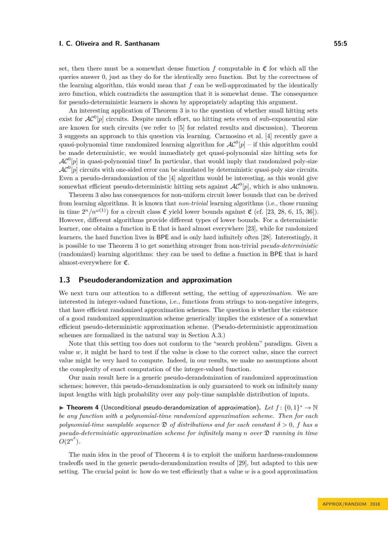set, then there must be a somewhat dense function  $f$  computable in  $\mathfrak C$  for which all the queries answer 0, just as they do for the identically zero function. But by the correctness of the learning algorithm, this would mean that *f* can be well-approximated by the identically zero function, which contradicts the assumption that it is somewhat dense. The consequence for pseudo-deterministic learners is shown by appropriately adapting this argument.

An interesting application of Theorem [3](#page-3-2) is to the question of whether small hitting sets exist for  $AC^0[p]$  circuits. Despite much effort, no hitting sets even of sub-exponential size are known for such circuits (we refer to [\[5\]](#page-12-8) for related results and discussion). Theorem [3](#page-3-2) suggests an approach to this question via learning. Carmosino et al. [\[4\]](#page-12-7) recently gave a quasi-polynomial time randomized learning algorithm for  $AC^0[p]$  – if this algorithm could be made deterministic, we would immediately get quasi-polynomial size hitting sets for  $AC^0[p]$  in quasi-polynomial time! In particular, that would imply that randomized poly-size  $AC<sup>0</sup>[p]$  circuits with one-sided error can be simulated by deterministic quasi-poly size circuits. Even a pseudo-derandomization of the [\[4\]](#page-12-7) algorithm would be interesting, as this would give somewhat efficient pseudo-deterministic hitting sets against  $\mathcal{AC}^0[p]$ , which is also unknown.

Theorem [3](#page-3-2) also has consequences for non-uniform circuit lower bounds that can be derived from learning algorithms. It is known that *non-trivial* learning algorithms (i.e., those running in time  $2^n/n^{\omega(1)}$  for a circuit class  $\mathfrak C$  yield lower bounds against  $\mathfrak C$  (cf. [\[23,](#page-13-11) [28,](#page-13-9) [6,](#page-12-9) [15,](#page-12-10) [36\]](#page-13-12)). However, different algorithms provide different types of lower bounds. For a deterministic learner, one obtains a function in E that is hard almost everywhere [\[23\]](#page-13-11), while for randomized learners, the hard function lives in BPE and is only hard infinitely often [\[28\]](#page-13-9). Interestingly, it is possible to use Theorem [3](#page-3-2) to get something stronger from non-trivial *pseudo-deterministic* (randomized) learning algorithms: they can be used to define a function in BPE that is hard almost-everywhere for C.

# **1.3 Pseudoderandomization and approximation**

We next turn our attention to a different setting, the setting of *approximation*. We are interested in integer-valued functions, i.e., functions from strings to non-negative integers, that have efficient randomized approximation schemes. The question is whether the existence of a good randomized approximation scheme generically implies the existence of a somewhat efficient pseudo-deterministic approximation scheme. (Pseudo-deterministic approximation schemes are formalized in the natural way in Section [A.3.](#page-16-0))

Note that this setting too does not conform to the "search problem" paradigm. Given a value  $w$ , it might be hard to test if the value is close to the correct value, since the correct value might be very hard to compute. Indeed, in our results, we make no assumptions about the complexity of exact computation of the integer-valued function.

Our main result here is a generic pseudo-derandomization of randomized approximation schemes; however, this pseudo-derandomization is only guaranteed to work on infinitely many input lengths with high probability over any poly-time samplable distribution of inputs.

<span id="page-4-0"></span>**Figure 1** Theorem 4 (Unconditional pseudo-derandomization of approximation). Let  $f: \{0,1\}^* \to \mathbb{N}$ *be any function with a polynomial-time randomized approximation scheme. Then for each polynomial-time samplable sequence*  $\mathfrak{D}$  *of distributions and for each constant*  $\delta > 0$ , *f has a pseudo-deterministic approximation scheme for infinitely many n over* D *running in time*  $O(2^{n^{\delta}}).$ 

The main idea in the proof of Theorem [4](#page-4-0) is to exploit the uniform hardness-randomness tradeoffs used in the generic pseudo-derandomization results of [\[29\]](#page-13-2), but adapted to this new setting. The crucial point is: how do we test efficiently that a value  $w$  is a good approximation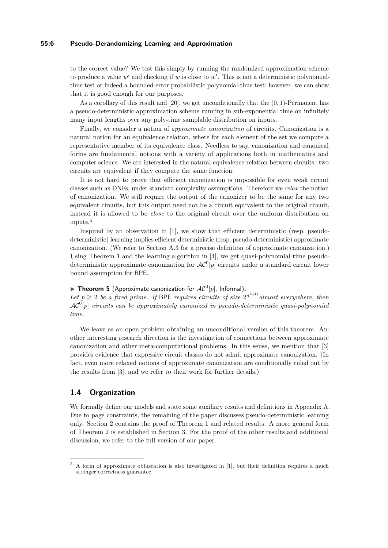## **55:6 Pseudo-Derandomizing Learning and Approximation**

to the correct value? We test this simply by running the randomized approximation scheme to produce a value  $w'$  and checking if  $w$  is close to  $w'$ . This is not a deterministic polynomialtime test or indeed a bounded-error probabilistic polynomial-time test; however, we can show that it is good enough for our purposes.

As a corollary of this result and [\[20\]](#page-13-13), we get unconditionally that the (0*,* 1)-Permanent has a pseudo-deterministic approximation scheme running in sub-exponential time on infinitely many input lengths over any poly-time samplable distribution on inputs.

Finally, we consider a notion of *approximate canonization* of circuits. Canonization is a natural notion for an equivalence relation, where for each element of the set we compute a representative member of its equivalence class. Needless to say, canonization and canonical forms are fundamental notions with a variety of applications both in mathematics and computer science. We are interested in the natural equivalence relation between circuits: two circuits are equivalent if they compute the same function.

It is not hard to prove that efficient canonization is impossible for even weak circuit classes such as DNFs, under standard complexity assumptions. Therefore we *relax* the notion of canonization. We still require the output of the canonizer to be the same for any two equivalent circuits, but this output need not be a circuit equivalent to the original circuit, instead it is allowed to be *close* to the original circuit over the uniform distribution on inputs.[5](#page-5-0)

Inspired by an observation in [\[1\]](#page-12-11), we show that efficient deterministic (resp. pseudodeterministic) learning implies efficient deterministic (resp. pseudo-deterministic) approximate canonization. (We refer to Section [A.3](#page-16-0) for a precise definition of approximate canonization.) Using Theorem [1](#page-2-2) and the learning algorithm in [\[4\]](#page-12-7), we get quasi-polynomial time pseudodeterministic approximate canonization for  $AC^0[p]$  circuits under a standard circuit lower bound assumption for BPE.

# **Fheorem 5** (Approximate canonization for  $AC^0[p]$ , Informal).

Let  $p \geq 2$  be a fixed prime. If BPE requires circuits of size  $2^{n^{\Omega(1)}}$  almost everywhere, then  $\mathcal{AC}^0[p]$  *circuits can be approximately canonized in pseudo-deterministic quasi-polynomial time.*

We leave as an open problem obtaining an unconditional version of this theorem. Another interesting research direction is the investigation of connections between approximate canonization and other meta-computational problems. In this sense, we mention that [\[3\]](#page-12-1) provides evidence that expressive circuit classes do not admit approximate canonization. (In fact, even more relaxed notions of approximate canonization are conditionally ruled out by the results from [\[3\]](#page-12-1), and we refer to their work for further details.)

# **1.4 Organization**

We formally define our models and state some auxiliary results and definitions in Appendix [A.](#page-14-0) Due to page constraints, the remaining of the paper discusses pseudo-deterministic learning only. Section [2](#page-6-0) contains the proof of Theorem [1](#page-2-2) and related results. A more general form of Theorem [2](#page-3-1) is established in Section [3.](#page-9-0) For the proof of the other results and additional discussion, we refer to the full version of our paper.

<span id="page-5-0"></span><sup>5</sup> A form of approximate obfuscation is also investigated in [\[1\]](#page-12-11), but their definition requires a much stronger correctness guarantee.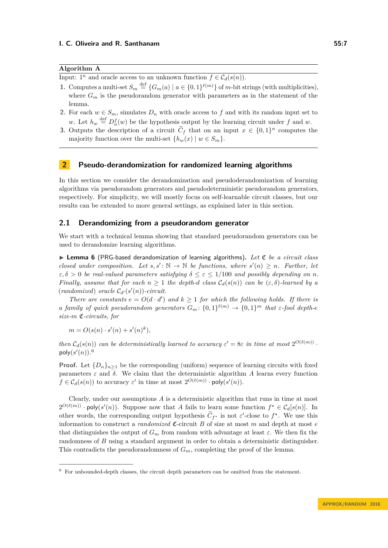# **Algorithm A**

Input:  $1^n$  and oracle access to an unknown function  $f \in \mathcal{C}_d(s(n))$ .

- **1.** Computes a multi-set  $S_m \stackrel{\text{def}}{=} \{G_m(a) \mid a \in \{0,1\}^{\ell(m)}\}$  of *m*-bit strings (with multiplicities), where  $G_m$  is the pseudorandom generator with parameters as in the statement of the lemma.
- **2.** For each  $w \in S_m$ , simulates  $D_n$  with oracle access to f and with its random input set to *w*. Let  $h_w \stackrel{\text{def}}{=} D_n^f(w)$  be the hypothesis output by the learning circuit under f and *w*.
- **3.** Outputs the description of a circuit  $C_f$  that on an input  $x \in \{0,1\}^n$  computes the majority function over the multi-set  ${h_w(x) | w \in S_m}$ .

## <span id="page-6-0"></span>**2 Pseudo-derandomization for randomized learning algorithms**

In this section we consider the derandomization and pseudoderandomization of learning algorithms via pseudorandom generators and pseudodeterministic pseudorandom generators, respectively. For simplicity, we will mostly focus on self-learnable circuit classes, but our results can be extended to more general settings, as explained later in this section.

# **2.1 Derandomizing from a pseudorandom generator**

We start with a technical lemma showing that standard pseudorandom generators can be used to derandomize learning algorithms.

<span id="page-6-1"></span>I **Lemma 6** (PRG-based derandomization of learning algorithms)**.** *Let* C *be a circuit class closed under composition. Let*  $s, s' : \mathbb{N} \to \mathbb{N}$  *be functions, where*  $s'(n) \geq n$ *. Further, let*  $\varepsilon, \delta > 0$  *be real-valued parameters satisfying*  $\delta \leq \varepsilon \leq 1/100$  *and possibly depending on n. Finally, assume that for each*  $n \geq 1$  *the depth-d class*  $C_d(s(n))$  *can be*  $(\epsilon, \delta)$ *-learned by a*  $(randomized) *oracle*  $C_{d'}(s'(n))$ *-circuit.*$ 

*There are constants*  $e = O(d \cdot d')$  *and*  $k \ge 1$  *for which the following holds. If there is a* family of quick pseudorandom generators  $G_m: \{0,1\}^{\ell(m)} \to \{0,1\}^m$  that  $\varepsilon$ -fool depth-e *size-m* C*-circuits, for*

$$
m = O(s(n) \cdot s'(n) + s'(n)^k),
$$

*then*  $C_d(s(n))$  *can be deterministically learned to accuracy*  $\varepsilon' = 8\varepsilon$  *in time at most*  $2^{O(\ell(m))}$ . poly $(s'(n))$ .<sup>[6](#page-6-2)</sup>

**Proof.** Let  $\{D_n\}_{n>1}$  be the corresponding (uniform) sequence of learning circuits with fixed parameters  $\varepsilon$  and  $\delta$ . We claim that the deterministic algorithm *A* learns every function  $f \in \mathcal{C}_d(s(n))$  to accuracy  $\varepsilon'$  in time at most  $2^{O(\ell(m))} \cdot \text{poly}(s'(n))$ .

Clearly, under our assumptions *A* is a deterministic algorithm that runs in time at most  $2^{O(\ell(m))} \cdot \text{poly}(s'(n))$ . Suppose now that *A* fails to learn some function  $f^* \in \mathcal{C}_d[s(n)]$ . In other words, the corresponding output hypothesis  $C_{f^*}$  is not  $\varepsilon'$ -close to  $f^*$ . We use this information to construct a *randomized*  $\mathfrak{C}$ -circuit *B* of size at most *m* and depth at most *e* that distinguishes the output of  $G_m$  from random with advantage at least  $\varepsilon$ . We then fix the randomness of *B* using a standard argument in order to obtain a deterministic distinguisher. This contradicts the pseudorandomness of *Gm*, completing the proof of the lemma.

<span id="page-6-2"></span> $6$  For unbounded-depth classes, the circuit depth parameters can be omitted from the statement.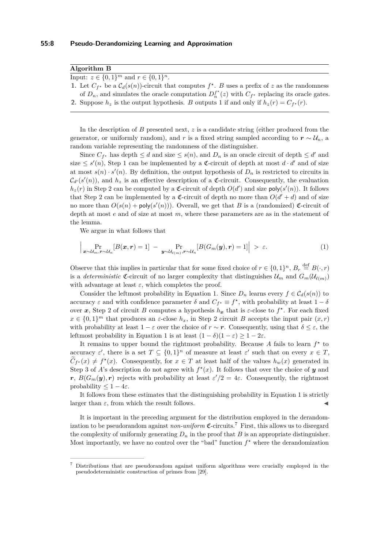**Algorithm B**

Input:  $z \in \{0, 1\}^m$  and  $r \in \{0, 1\}^n$ .

**1.** Let  $C_f$  be a  $C_d(s(n))$ -circuit that computes  $f^*$ . *B* uses a prefix of *z* as the randomness of  $D_n$ , and simulates the oracle computation  $D_n^{f^*}(z)$  with  $C_{f^*}$  replacing its oracle gates. **2.** Suppose  $h_z$  is the output hypothesis. *B* outputs 1 if and only if  $h_z(r) = C_{f^*}(r)$ .

In the description of *B* presented next, *z* is a candidate string (either produced from the generator, or uniformly random), and *r* is a fixed string sampled according to  $r \sim U_n$ , a random variable representing the randomness of the distinguisher.

Since  $C_{f^*}$  has depth  $\leq d$  and size  $\leq s(n)$ , and  $D_n$  is an oracle circuit of depth  $\leq d'$  and size  $\leq s'(n)$ , Step 1 can be implemented by a  $\mathfrak{C}$ -circuit of depth at most  $d \cdot d'$  and of size at most  $s(n) \cdot s'(n)$ . By definition, the output hypothesis of  $D_n$  is restricted to circuits in  $\mathcal{C}_{d'}(s'(n))$ , and  $h_z$  is an effective description of a  $\mathfrak{C}\text{-}$ circuit. Consequently, the evaluation  $h_z(r)$  in Step 2 can be computed by a  $\mathfrak{C}$ -circuit of depth  $O(d')$  and size poly( $s'(n)$ ). It follows that Step 2 can be implemented by a  $\mathfrak{C}$ -circuit of depth no more than  $O(d' + d)$  and of size no more than  $O(s(n) + \text{poly}(s'(n)))$ . Overall, we get that *B* is a (randomized) C-circuit of depth at most *e* and of size at most *m*, where these parameters are as in the statement of the lemma.

<span id="page-7-0"></span>We argue in what follows that

$$
\left| \Pr_{\boldsymbol{x} \sim \mathcal{U}_m, \boldsymbol{r} \sim \mathcal{U}_n} [B(\boldsymbol{x}, \boldsymbol{r}) = 1] - \Pr_{\boldsymbol{y} \sim \mathcal{U}_{\ell(m)}, \boldsymbol{r} \sim \mathcal{U}_n} [B(G_m(\boldsymbol{y}), \boldsymbol{r}) = 1] \right| > \varepsilon.
$$
 (1)

Observe that this implies in particular that for some fixed choice of  $r \in \{0,1\}^n$ ,  $B_r \stackrel{\text{def}}{=} B(\cdot, r)$ is a *deterministic*  $\mathfrak{C}$ -circuit of no larger complexity that distinguishes  $\mathcal{U}_m$  and  $G_m(\mathcal{U}_{\ell(m)})$ with advantage at least  $\varepsilon$ , which completes the proof.

Consider the leftmost probability in Equation [1.](#page-7-0) Since  $D_n$  learns every  $f \in C_d(s(n))$  to accuracy  $\varepsilon$  and with confidence parameter  $\delta$  and  $C_{f^*} \equiv f^*$ , with probability at least  $1 - \delta$ over *x*, Step 2 of circuit *B* computes a hypothesis  $h_x$  that is  $\varepsilon$ -close to  $f^*$ . For each fixed  $x \in \{0,1\}^m$  that produces an *ε*-close  $h_x$ , in Step 2 circuit *B* accepts the input pair  $(x, r)$ with probability at least  $1 - \varepsilon$  over the choice of  $r \sim r$ . Consequently, using that  $\delta \leq \varepsilon$ , the leftmost probability in Equation [1](#page-7-0) is at least  $(1 - \delta)(1 - \varepsilon) \geq 1 - 2\varepsilon$ .

It remains to upper bound the rightmost probability. Because A fails to learn  $f^*$  to accuracy  $\varepsilon'$ , there is a set  $T \subseteq \{0,1\}^n$  of measure at least  $\varepsilon'$  such that on every  $x \in T$ ,  $C_f$ <sup>\*</sup>(*x*)  $\neq f^*(x)$ . Consequently, for  $x \in T$  at least half of the values  $h_w(x)$  generated in Step 3 of *A*'s description do not agree with  $f^*(x)$ . It follows that over the choice of *y* and *r*,  $B(G_m(y), r)$  rejects with probability at least  $\varepsilon'/2 = 4\varepsilon$ . Consequently, the rightmost probability  $\leq 1-4\varepsilon$ .

It follows from these estimates that the distinguishing probability in Equation [1](#page-7-0) is strictly larger than  $\varepsilon$ , from which the result follows.

It is important in the preceding argument for the distribution employed in the derandomization to be pseudorandom against *non-uniform*  $\mathfrak{C}\text{-circuits}.$  First, this allows us to disregard the complexity of uniformly generating  $D_n$  in the proof that *B* is an appropriate distinguisher. Most importantly, we have no control over the "bad" function  $f^*$  where the derandomization

<span id="page-7-1"></span><sup>7</sup> Distributions that are pseudorandom against uniform algorithms were crucially employed in the pseudodeterministic construction of primes from [\[29\]](#page-13-2).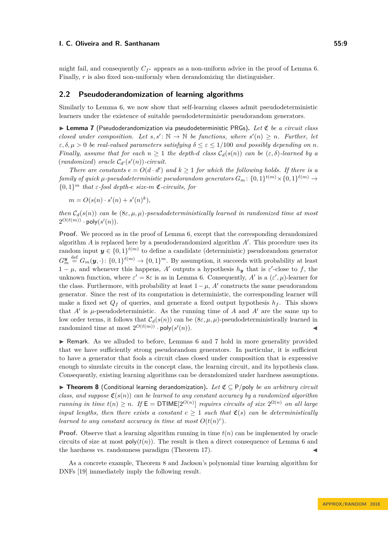might fail, and consequently  $C_{f^*}$  appears as a non-uniform advice in the proof of Lemma [6.](#page-6-1) Finally, *r* is also fixed non-uniformly when derandomizing the distinguisher.

## **2.2 Pseudoderandomization of learning algorithms**

Similarly to Lemma [6,](#page-6-1) we now show that self-learning classes admit pseudodeterministic learners under the existence of suitable pseudodeterministic pseudorandom generators.

<span id="page-8-0"></span>I **Lemma 7** (Pseudoderandomization via pseudodeterministic PRGs)**.** *Let* C *be a circuit class closed under composition. Let*  $s, s' : \mathbb{N} \to \mathbb{N}$  *be functions, where*  $s'(n) \geq n$ *. Further, let*  $\varepsilon, \delta, \mu > 0$  *be real-valued parameters satisfying*  $\delta \leq \varepsilon \leq 1/100$  *and possibly depending on n. Finally, assume that for each*  $n \geq 1$  *the depth-d class*  $C_d(s(n))$  *can be*  $(\varepsilon, \delta)$ *-learned by a*  $(randomized) *oracle*  $C_{d'}(s'(n))$ *-circuit.*$ 

*There are constants*  $e = O(d \cdot d')$  *and*  $k \ge 1$  *for which the following holds. If there is a*  $family\ of\ quick\ \mu-pseudodeterministic\ pseudorandom\ generators\ G_m\colon \{0,1\}^{t(m)}\times \{0,1\}^{\ell(m)}\to 0$  ${0, 1}^m$  *that*  $\varepsilon$ *-fool depth-e size-m*  $\mathfrak{C}$ *-circuits, for* 

 $m = O(s(n) \cdot s'(n) + s'(n)^k),$ 

*then*  $C_d(s(n))$  *can be*  $(8\varepsilon, \mu, \mu)$ *-pseudodeterministically learned in randomized time at most*  $2^{O(\ell(m))} \cdot \mathsf{poly}(s'(n)).$ 

**Proof.** We proceed as in the proof of Lemma [6,](#page-6-1) except that the corresponding derandomized algorithm  $A$  is replaced here by a pseudoderandomized algorithm  $A'$ . This procedure uses its random input  $y \in \{0,1\}^{t(m)}$  to define a candidate (deterministic) pseudorandom generator  $G_m^{\mathbf{y}} \stackrel{\text{def}}{=} G_m(\mathbf{y}, \cdot) \colon \{0,1\}^{\ell(m)} \to \{0,1\}^m$ . By assumption, it succeeds with probability at least  $1 - \mu$ , and whenever this happens, *A'* outputs a hypothesis  $h_y$  that is  $\varepsilon'$ -close to f, the unknown function, where  $\varepsilon' = 8\varepsilon$  is as in Lemma [6.](#page-6-1) Consequently, *A'* is a  $(\varepsilon', \mu)$ -learner for the class. Furthermore, with probability at least  $1 - \mu$ , *A'* constructs the same pseudorandom generator. Since the rest of its computation is deterministic, the corresponding learner will make a fixed set  $Q_f$  of queries, and generate a fixed output hypothesis  $h_f$ . This shows that  $A'$  is  $\mu$ -pseudodeterministic. As the running time of  $A$  and  $A'$  are the same up to low order terms, it follows that  $C_d(s(n))$  can be  $(8\varepsilon, \mu, \mu)$ -pseudodeterministically learned in randomized time at most  $2^{O(\ell(m))} \cdot \text{poly}(s')$  $(n)$ .

 $\triangleright$  Remark. As we alluded to before, Lemmas [6](#page-6-1) and [7](#page-8-0) hold in more generality provided that we have sufficiently strong pseudorandom generators. In particular, it is sufficient to have a generator that fools a circuit class closed under composition that is expressive enough to simulate circuits in the concept class, the learning circuit, and its hypothesis class. Consequently, existing learning algorithms can be derandomized under hardness assumptions.

<span id="page-8-1"></span>I **Theorem 8** (Conditional learning derandomization)**.** *Let* C ⊆ P*/*poly *be an arbitrary circuit class, and suppose*  $\mathfrak{C}(s(n))$  *can be learned to any constant accuracy by a randomized algorithm running in time*  $t(n) \geq n$ . If  $\mathsf{E} = \mathsf{DTIME}[2^{O(n)}]$  *requires circuits of size*  $2^{\Omega(n)}$  *on all large input lengths, then there exists a constant*  $c \geq 1$  *such that*  $\mathfrak{C}(s)$  *can be deterministically learned to any constant accuracy in time at most*  $O(t(n)^c)$ *.* 

**Proof.** Observe that a learning algorithm running in time  $t(n)$  can be implemented by oracle circuits of size at most  $\text{poly}(t(n))$ . The result is then a direct consequence of Lemma [6](#page-6-1) and the hardness vs. randomness paradigm (Theorem [17\)](#page-14-1).

As a concrete example, Theorem [8](#page-8-1) and Jackson's polynomial time learning algorithm for DNFs [\[19\]](#page-13-6) immediately imply the following result.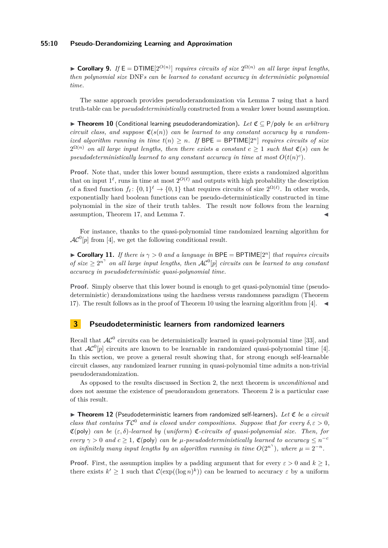## **55:10 Pseudo-Derandomizing Learning and Approximation**

► **Corollary 9.** *If*  $E = DTIME[2^{O(n)}]$  *requires circuits of size*  $2^{\Omega(n)}$  *on all large input lengths, then polynomial size* DNF*s can be learned to constant accuracy in deterministic polynomial time.*

The same approach provides pseudoderandomization via Lemma [7](#page-8-0) using that a hard truth-table can be *pseudodeterministically* constructed from a weaker lower bound assumption.

<span id="page-9-1"></span>I **Theorem 10** (Conditional learning pseudoderandomization)**.** *Let* C ⊆ P*/*poly *be an arbitrary circuit class, and suppose*  $\mathfrak{C}(s(n))$  *can be learned to any constant accuracy by a randomized algorithm running in time*  $t(n) > n$ . If  $BPE = BPTIME[2^n]$  *requires circuits of size*  $2^{\Omega(n)}$  *on all large input lengths, then there exists a constant*  $c \geq 1$  *such that*  $\mathfrak{C}(s)$  *can be* pseudodeterministically learned to any constant accuracy in time at most  $O(t(n)^c)$ .

**Proof.** Note that, under this lower bound assumption, there exists a randomized algorithm that on input  $1^{\ell}$ , runs in time at most  $2^{O(\ell)}$  and outputs with high probability the description of a fixed function  $f_{\ell}$ :  $\{0,1\}^{\ell} \to \{0,1\}$  that requires circuits of size  $2^{\Omega(\ell)}$ . In other words, exponentially hard boolean functions can be pseudo-deterministically constructed in time polynomial in the size of their truth tables. The result now follows from the learning assumption, Theorem [17,](#page-14-1) and Lemma [7.](#page-8-0)

For instance, thanks to the quasi-polynomial time randomized learning algorithm for  $AC^0[p]$  from [\[4\]](#page-12-7), we get the following conditional result.

 $\triangleright$  **Corollary 11.** *If there is*  $\gamma > 0$  *and a language in* BPE = BPTIME[2<sup>*n*</sup>] *that requires circuits of size*  $\geq 2^{n^{\gamma}}$  *on all large input lengths, then*  $AC^0[p]$  *circuits can be learned to any constant accuracy in pseudodeterministic quasi-polynomial time.*

**Proof.** Simply observe that this lower bound is enough to get quasi-polynomial time (pseudodeterministic) derandomizations using the hardness versus randomness paradigm (Theorem [17\)](#page-14-1). The result follows as in the proof of Theorem [10](#page-9-1) using the learning algorithm from [\[4\]](#page-12-7).  $\blacktriangleleft$ 

# <span id="page-9-0"></span>**3 Pseudodeterministic learners from randomized learners**

Recall that  $AC^0$  circuits can be deterministically learned in quasi-polynomial time [\[33\]](#page-13-10), and that  $AC^0[p]$  circuits are known to be learnable in randomized quasi-polynomial time [\[4\]](#page-12-7). In this section, we prove a general result showing that, for strong enough self-learnable circuit classes, any randomized learner running in quasi-polynomial time admits a non-trivial pseudoderandomization.

As opposed to the results discussed in Section [2,](#page-6-0) the next theorem is *unconditional* and does not assume the existence of pseudorandom generators. Theorem [2](#page-3-1) is a particular case of this result.

<span id="page-9-2"></span>▶ Theorem 12 (Pseudodeterministic learners from randomized self-learners). Let *C* be a circuit *class that contains*  $TC^0$  *and is closed under compositions. Suppose that for every*  $\delta, \epsilon > 0$ *,* C(poly) *can be* (*ε, δ*)*-learned by* (*uniform*) C*-circuits of quasi-polynomial size. Then, for every*  $\gamma > 0$  *and*  $c \geq 1$ ,  $\mathfrak{C}(\text{poly})$  *can be µ*-pseudodeterministically learned to accuracy  $\leq n^{-c}$ *on infinitely many input lengths by an algorithm running in time*  $O(2^{n^{\gamma}})$ *, where*  $\mu = 2^{-n}$ *.* 

**Proof.** First, the assumption implies by a padding argument that for every  $\varepsilon > 0$  and  $k \ge 1$ , there exists  $k' \geq 1$  such that  $\mathcal{C}(\exp((\log n)^k))$  can be learned to accuracy  $\varepsilon$  by a uniform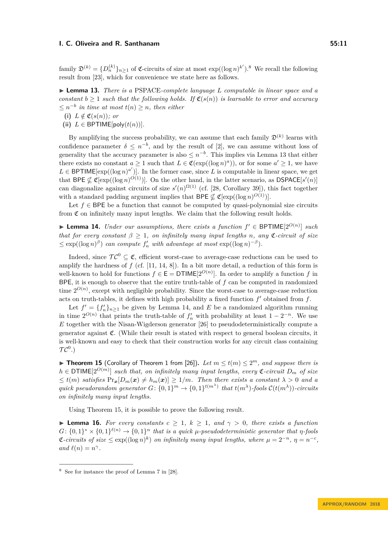family  $\mathfrak{D}^{(k)} = \{D_n^{(k)}\}_{n \geq 1}$  of  $\mathfrak{C}$ -circuits of size at most  $\exp((\log n)^{k'})$ .<sup>[8](#page-10-0)</sup> We recall the following result from [\[23\]](#page-13-11), which for convenience we state here as follows.

<span id="page-10-1"></span>I **Lemma 13.** *There is a* PSPACE*-complete language L computable in linear space and a constant*  $b \geq 1$  *such that the following holds. If*  $\mathfrak{C}(s(n))$  *is learnable to error and accuracy*  $\leq n^{-b}$  *in time at most*  $t(n) \geq n$ *, then either* 

(i) 
$$
L \notin \mathfrak{C}(s(n))
$$
; or

(ii)  $L \in \text{BPTIME}[\text{poly}(t(n))].$ 

By amplifying the success probability, we can assume that each family  $\mathfrak{D}^{(k)}$  learns with confidence parameter  $\delta \leq n^{-b}$ , and by the result of [\[2\]](#page-12-12), we can assume without loss of generality that the accuracy parameter is also  $\leq n^{-b}$ . This implies via Lemma [13](#page-10-1) that either there exists no constant  $a \geq 1$  such that  $L \in \mathfrak{C}(\exp((\log n)^a))$ , or for some  $a' \geq 1$ , we have  $L \in \text{BPTIME}[\exp((\log n)^{a'})]$ . In the former case, since *L* is computable in linear space, we get that BPE  $\nsubseteq \mathfrak{C}[\exp((\log n)^{O(1)})]$ . On the other hand, in the latter scenario, as DSPACE[s'(n)] can diagonalize against circuits of size  $s'(n)^{\Omega(1)}$  (cf. [\[28,](#page-13-9) Corollary 39]), this fact together with a standard padding argument implies that BPE  $\nsubseteq \mathfrak{C}[\exp((\log n)^{O(1)})]$ .

Let  $f \in BPE$  be a function that cannot be computed by quasi-polynomial size circuits from  $\mathfrak C$  on infinitely many input lengths. We claim that the following result holds.

<span id="page-10-2"></span>▶ **Lemma 14.** *Under our assumptions, there exists a function*  $f' \in BPTIME[2^{O(n)}]$  *such that for every constant*  $\beta \geq 1$ *, on infinitely many input lengths n, any*  $\mathfrak{C}$ *-circuit of size*  $\leq$  exp( $(\log n)^{\beta}$ ) *can compute*  $f'_n$  *with advantage at most* exp( $(\log n)^{-\beta}$ )*.* 

Indeed, since  $\mathcal{TC}^0 \subseteq \mathfrak{C}$ , efficient worst-case to average-case reductions can be used to amplify the hardness of  $f$  (cf.  $[11, 14, 8]$  $[11, 14, 8]$  $[11, 14, 8]$  $[11, 14, 8]$  $[11, 14, 8]$ ). In a bit more detail, a reduction of this form is well-known to hold for functions  $f \in \mathsf{E} = \mathsf{DTIME}[2^{O(n)}]$ . In order to amplify a function f in BPE, it is enough to observe that the entire truth-table of *f* can be computed in randomized time  $2^{O(n)}$ , except with negligible probability. Since the worst-case to average-case reduction acts on truth-tables, it defines with high probability a fixed function  $f'$  obtained from  $f$ .

Let  $f' = \{f'_n\}_{n \geq 1}$  be given by Lemma [14,](#page-10-2) and *E* be a randomized algorithm running in time  $2^{O(n)}$  that prints the truth-table of  $f'_n$  with probability at least  $1 - 2^{-n}$ . We use *E* together with the Nisan-Wigderson generator [\[26\]](#page-13-3) to pseudodeterministically compute a generator against  $\mathfrak{C}$ . (While their result is stated with respect to general boolean circuits, it is well-known and easy to check that their construction works for any circuit class containing  $\mathcal{TC}^{0}.$  )

<span id="page-10-3"></span>▶ Theorem 15 (Corollary of Theorem 1 from [\[26\]](#page-13-3)). Let  $m \le t(m) \le 2^m$ , and suppose there is  $h \in \text{DTIME}[2^{O(m)}]$  *such that, on infinitely many input lengths, every*  $\mathfrak{C}\text{-}circuit D_m$  *of size*  $\leq t(m)$  *satisfies*  $Pr_{\bm{x}}[D_m(\bm{x}) \neq h_m(\bm{x})] \geq 1/m$ *. Then there exists a constant*  $\lambda > 0$  *and a quick pseudorandom generator*  $G: \{0,1\}^m \to \{0,1\}^{t(m^{\lambda})}$  that  $t(m^{\lambda})$ -fools  $\mathcal{C}(t(m^{\lambda}))$ -circuits *on infinitely many input lengths.*

Using Theorem [15,](#page-10-3) it is possible to prove the following result.

<span id="page-10-4"></span>**Lemma 16.** For every constants  $c \geq 1$ ,  $k \geq 1$ , and  $\gamma > 0$ , there exists a function  $G: \{0,1\}^* \times \{0,1\}^{\ell(n)} \rightarrow \{0,1\}^n$  that is a quick  $\mu$ -pseudodeterministic generator that  $\eta$ -fools  $\mathfrak{C}\text{-}circuits$  of size ≤ exp((log *n*)<sup>k</sup>) on infinitely many input lengths, where  $\mu = 2^{-n}$ ,  $\eta = n^{-c}$ , *and*  $\ell(n) = n^{\gamma}$ .

<span id="page-10-0"></span><sup>8</sup> See for instance the proof of Lemma 7 in [\[28\]](#page-13-9).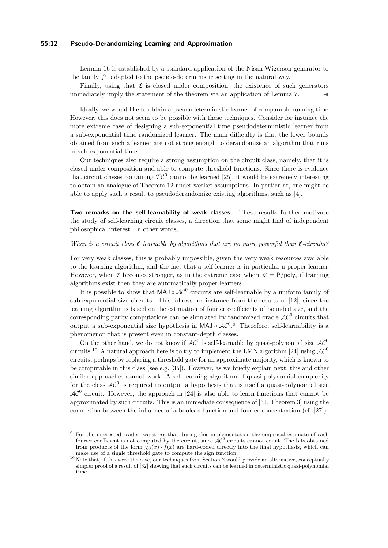## **55:12 Pseudo-Derandomizing Learning and Approximation**

Lemma [16](#page-10-4) is established by a standard application of the Nisan-Wigerson generator to the family  $f'$ , adapted to the pseudo-deterministic setting in the natural way.

Finally, using that  $\mathfrak C$  is closed under composition, the existence of such generators immediately imply the statement of the theorem via an application of Lemma [7.](#page-8-0)

Ideally, we would like to obtain a pseudodeterministic learner of comparable running time. However, this does not seem to be possible with these techniques. Consider for instance the more extreme case of designing a sub-exponential time pseudodeterministic learner from a sub-exponential time randomized learner. The main difficulty is that the lower bounds obtained from such a learner are not strong enough to derandomize an algorithm that runs in sub-exponential time.

Our techniques also require a strong assumption on the circuit class, namely, that it is closed under composition and able to compute threshold functions. Since there is evidence that circuit classes containing  $TC^0$  cannot be learned [\[25\]](#page-13-14), it would be extremely interesting to obtain an analogue of Theorem [12](#page-9-2) under weaker assumptions. In particular, one might be able to apply such a result to pseudoderandomize existing algorithms, such as [\[4\]](#page-12-7).

**Two remarks on the self-learnability of weak classes.** These results further motivate the study of self-learning circuit classes, a direction that some might find of independent philosophical interest. In other words,

#### *When is a circuit class* C *learnable by algorithms that are no more powerful than* C*-circuits?*

For very weak classes, this is probably impossible, given the very weak resources available to the learning algorithm, and the fact that a self-learner is in particular a proper learner. However, when  $\mathfrak C$  becomes stronger, as in the extreme case where  $\mathfrak C = P/poly$ , if learning algorithms exist then they are automatically proper learners.

It is possible to show that  $MAJ \circ AC^0$  circuits are self-learnable by a uniform family of sub-exponential size circuits. This follows for instance from the results of [\[12\]](#page-12-16), since the learning algorithm is based on the estimation of fourier coefficients of bounded size, and the corresponding parity computations can be simulated by randomized oracle  $AC^0$  circuits that output a sub-exponential size hypothesis in MAJ ∘  $AC^{0.9}$  $AC^{0.9}$  $AC^{0.9}$  Therefore, self-learnability is a phenomenon that is present even in constant-depth classes.

On the other hand, we do not know if  $AC^0$  is self-learnable by quasi-polynomial size  $AC^0$ circuits.<sup>[10](#page-11-1)</sup> A natural approach here is to try to implement the LMN algorithm [\[24\]](#page-13-7) using  $AC^0$ circuits, perhaps by replacing a threshold gate for an approximate majority, which is known to be computable in this class (see e.g. [\[35\]](#page-13-15)). However, as we briefly explain next, this and other similar approaches cannot work. A self-learning algorithm of quasi-polynomial complexity for the class  $AC^0$  is required to output a hypothesis that is itself a quasi-polynomial size  $AC<sup>0</sup>$  circuit. However, the approach in [\[24\]](#page-13-7) is also able to learn functions that cannot be approximated by such circuits. This is an immediate consequence of [\[31,](#page-13-16) Theorem 3] using the connection between the influence of a boolean function and fourier concentration (cf. [\[27\]](#page-13-17)).

<span id="page-11-0"></span> $9\,$  For the interested reader, we stress that during this implementation the empirical estimate of each fourier coefficient is not computed by the circuit, since  $\hat{A}\mathcal{C}^0$  circuits cannot count. The bits obtained from products of the form  $\chi_S(x) \cdot f(x)$  are hard-coded directly into the final hypothesis, which can make use of a single threshold gate to compute the sign function.

<span id="page-11-1"></span><sup>&</sup>lt;sup>10</sup> Note that, if this were the case, our techniques from Section [2](#page-6-0) would provide an alternative, conceptually simpler proof of a result of [\[32\]](#page-13-8) showing that such circuits can be learned in deterministic quasi-polynomial time.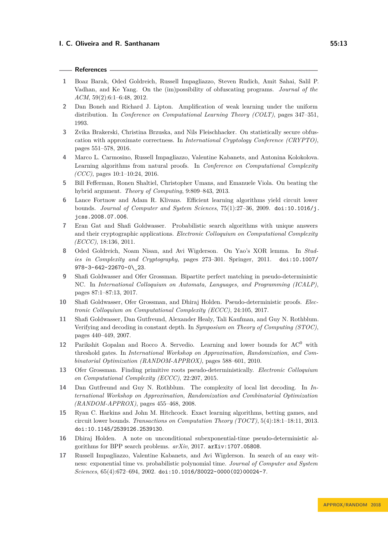## **References**

- <span id="page-12-11"></span>**1** Boaz Barak, Oded Goldreich, Russell Impagliazzo, Steven Rudich, Amit Sahai, Salil P. Vadhan, and Ke Yang. On the (im)possibility of obfuscating programs. *Journal of the ACM*, 59(2):6:1–6:48, 2012.
- <span id="page-12-12"></span>**2** Dan Boneh and Richard J. Lipton. Amplification of weak learning under the uniform distribution. In *Conference on Computational Learning Theory (COLT)*, pages 347–351, 1993.
- <span id="page-12-1"></span>**3** Zvika Brakerski, Christina Brzuska, and Nils Fleischhacker. On statistically secure obfuscation with approximate correctness. In *International Cryptology Conference (CRYPTO)*, pages 551–578, 2016.
- <span id="page-12-7"></span>**4** Marco L. Carmosino, Russell Impagliazzo, Valentine Kabanets, and Antonina Kolokolova. Learning algorithms from natural proofs. In *Conference on Computational Complexity (CCC)*, pages 10:1–10:24, 2016.
- <span id="page-12-8"></span>**5** Bill Fefferman, Ronen Shaltiel, Christopher Umans, and Emanuele Viola. On beating the hybrid argument. *Theory of Computing*, 9:809–843, 2013.
- <span id="page-12-9"></span>**6** Lance Fortnow and Adam R. Klivans. Efficient learning algorithms yield circuit lower bounds. *Journal of Computer and System Sciences*, 75(1):27–36, 2009. [doi:10.1016/j.](http://dx.doi.org/10.1016/j.jcss.2008.07.006) [jcss.2008.07.006](http://dx.doi.org/10.1016/j.jcss.2008.07.006).
- <span id="page-12-0"></span>**7** Eran Gat and Shafi Goldwasser. Probabilistic search algorithms with unique answers and their cryptographic applications. *Electronic Colloquium on Computational Complexity (ECCC)*, 18:136, 2011.
- <span id="page-12-15"></span>**8** Oded Goldreich, Noam Nisan, and Avi Wigderson. On Yao's XOR lemma. In *Studies in Complexity and Cryptography*, pages 273–301. Springer, 2011. [doi:10.1007/](http://dx.doi.org/10.1007/978-3-642-22670-0_23) [978-3-642-22670-0\\\_23](http://dx.doi.org/10.1007/978-3-642-22670-0_23).
- <span id="page-12-4"></span>**9** Shafi Goldwasser and Ofer Grossman. Bipartite perfect matching in pseudo-deterministic NC. In *International Colloquium on Automata, Languages, and Programming (ICALP)*, pages 87:1–87:13, 2017.
- <span id="page-12-6"></span>**10** Shafi Goldwasser, Ofer Grossman, and Dhiraj Holden. Pseudo-deterministic proofs. *Electronic Colloquium on Computational Complexity (ECCC)*, 24:105, 2017.
- <span id="page-12-13"></span>**11** Shafi Goldwasser, Dan Gutfreund, Alexander Healy, Tali Kaufman, and Guy N. Rothblum. Verifying and decoding in constant depth. In *Symposium on Theory of Computing (STOC)*, pages 440–449, 2007.
- <span id="page-12-16"></span>12 Parikshit Gopalan and Rocco A. Servedio. Learning and lower bounds for AC<sup>0</sup> with threshold gates. In *International Workshop on Approximation, Randomization, and Combinatorial Optimization (RANDOM-APPROX)*, pages 588–601, 2010.
- <span id="page-12-3"></span>**13** Ofer Grossman. Finding primitive roots pseudo-deterministically. *Electronic Colloquium on Computational Complexity (ECCC)*, 22:207, 2015.
- <span id="page-12-14"></span>**14** Dan Gutfreund and Guy N. Rothblum. The complexity of local list decoding. In *International Workshop on Approximation, Randomization and Combinatorial Optimization (RANDOM-APPROX)*, pages 455–468, 2008.
- <span id="page-12-10"></span>**15** Ryan C. Harkins and John M. Hitchcock. Exact learning algorithms, betting games, and circuit lower bounds. *Transactions on Computation Theory (TOCT)*, 5(4):18:1–18:11, 2013. [doi:10.1145/2539126.2539130](http://dx.doi.org/10.1145/2539126.2539130).
- <span id="page-12-5"></span>**16** Dhiraj Holden. A note on unconditional subexponential-time pseudo-deterministic algorithms for BPP search problems. *arXiv*, 2017. [arXiv:1707.05808](http://arxiv.org/abs/1707.05808).
- <span id="page-12-2"></span>**17** Russell Impagliazzo, Valentine Kabanets, and Avi Wigderson. In search of an easy witness: exponential time vs. probabilistic polynomial time. *Journal of Computer and System Sciences*, 65(4):672–694, 2002. [doi:10.1016/S0022-0000\(02\)00024-7](http://dx.doi.org/10.1016/S0022-0000(02)00024-7).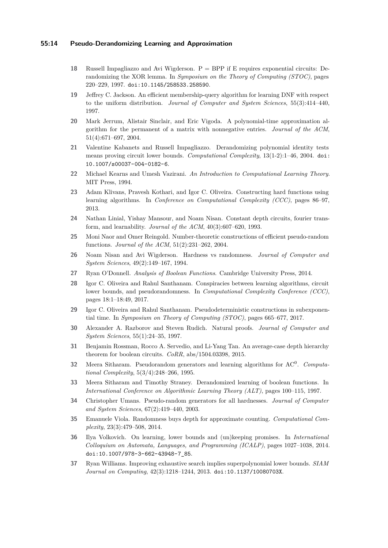## **55:14 Pseudo-Derandomizing Learning and Approximation**

- <span id="page-13-4"></span>**18** Russell Impagliazzo and Avi Wigderson. P = BPP if E requires exponential circuits: Derandomizing the XOR lemma. In *Symposium on the Theory of Computing (STOC)*, pages 220–229, 1997. [doi:10.1145/258533.258590](http://dx.doi.org/10.1145/258533.258590).
- <span id="page-13-6"></span>**19** Jeffrey C. Jackson. An efficient membership-query algorithm for learning DNF with respect to the uniform distribution. *Journal of Computer and System Sciences*, 55(3):414–440, 1997.
- <span id="page-13-13"></span>**20** Mark Jerrum, Alistair Sinclair, and Eric Vigoda. A polynomial-time approximation algorithm for the permanent of a matrix with nonnegative entries. *Journal of the ACM*, 51(4):671–697, 2004.
- <span id="page-13-0"></span>**21** Valentine Kabanets and Russell Impagliazzo. Derandomizing polynomial identity tests means proving circuit lower bounds. *Computational Complexity*, 13(1-2):1–46, 2004. [doi:](http://dx.doi.org/10.1007/s00037-004-0182-6) [10.1007/s00037-004-0182-6](http://dx.doi.org/10.1007/s00037-004-0182-6).
- <span id="page-13-18"></span>**22** Michael Kearns and Umesh Vazirani. *An Introduction to Computational Learning Theory*. MIT Press, 1994.
- <span id="page-13-11"></span>**23** Adam Klivans, Pravesh Kothari, and Igor C. Oliveira. Constructing hard functions using learning algorithms. In *Conference on Computational Complexity (CCC)*, pages 86–97, 2013.
- <span id="page-13-7"></span>**24** Nathan Linial, Yishay Mansour, and Noam Nisan. Constant depth circuits, fourier transform, and learnability. *Journal of the ACM*, 40(3):607–620, 1993.
- <span id="page-13-14"></span>**25** Moni Naor and Omer Reingold. Number-theoretic constructions of efficient pseudo-random functions. *Journal of the ACM*, 51(2):231–262, 2004.
- <span id="page-13-3"></span>**26** Noam Nisan and Avi Wigderson. Hardness vs randomness. *Journal of Computer and System Sciences*, 49(2):149–167, 1994.
- <span id="page-13-17"></span>**27** Ryan O'Donnell. *Analysis of Boolean Functions*. Cambridge University Press, 2014.
- <span id="page-13-9"></span>**28** Igor C. Oliveira and Rahul Santhanam. Conspiracies between learning algorithms, circuit lower bounds, and pseudorandomness. In *Computational Complexity Conference (CCC)*, pages 18:1–18:49, 2017.
- <span id="page-13-2"></span>**29** Igor C. Oliveira and Rahul Santhanam. Pseudodeterministic constructions in subexponential time. In *Symposium on Theory of Computing (STOC)*, pages 665–677, 2017.
- <span id="page-13-19"></span>**30** Alexander A. Razborov and Steven Rudich. Natural proofs. *Journal of Computer and System Sciences*, 55(1):24–35, 1997.
- <span id="page-13-16"></span>**31** Benjamin Rossman, Rocco A. Servedio, and Li-Yang Tan. An average-case depth hierarchy theorem for boolean circuits. *CoRR*, abs/1504.03398, 2015.
- <span id="page-13-8"></span>**32** Meera Sitharam. Pseudorandom generators and learning algorithms for AC<sup>0</sup> . *Computational Complexity*, 5(3/4):248–266, 1995.
- <span id="page-13-10"></span>**33** Meera Sitharam and Timothy Straney. Derandomized learning of boolean functions. In *International Conference on Algorithmic Learning Theory (ALT)*, pages 100–115, 1997.
- <span id="page-13-5"></span>**34** Christopher Umans. Pseudo-random generators for all hardnesses. *Journal of Computer and System Sciences*, 67(2):419–440, 2003.
- <span id="page-13-15"></span>**35** Emanuele Viola. Randomness buys depth for approximate counting. *Computational Complexity*, 23(3):479–508, 2014.
- <span id="page-13-12"></span>**36** Ilya Volkovich. On learning, lower bounds and (un)keeping promises. In *International Colloquium on Automata, Languages, and Programming (ICALP)*, pages 1027–1038, 2014. [doi:10.1007/978-3-662-43948-7\\_85](http://dx.doi.org/10.1007/978-3-662-43948-7_85).
- <span id="page-13-1"></span>**37** Ryan Williams. Improving exhaustive search implies superpolynomial lower bounds. *SIAM Journal on Computing*, 42(3):1218–1244, 2013. [doi:10.1137/10080703X](http://dx.doi.org/10.1137/10080703X).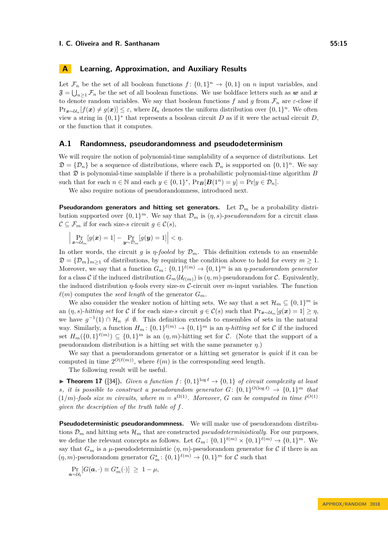# <span id="page-14-0"></span>**A Learning, Approximation, and Auxiliary Results**

Let  $\mathcal{F}_n$  be the set of all boolean functions  $f: \{0,1\}^n \to \{0,1\}$  on *n* input variables, and  $\mathfrak{F} = \bigcup_{n \geq 1} \mathcal{F}_n$  be the set of all boolean functions. We use boldface letters such as  $w$  and  $x$ to denote random variables. We say that boolean functions  $f$  and  $g$  from  $\mathcal{F}_n$  are  $\varepsilon$ -close if  $\Pr_{\bm{x} \sim \mathcal{U}_n}[f(\bm{x}) \neq g(\bm{x})] \leq \varepsilon$ , where  $\mathcal{U}_n$  denotes the uniform distribution over  $\{0,1\}^n$ . We often view a string in  $\{0,1\}^*$  that represents a boolean circuit *D* as if it were the actual circuit *D*, or the function that it computes.

#### **A.1 Randomness, pseudorandomness and pseudodeterminism**

We will require the notion of polynomial-time samplability of a sequence of distributions. Let  $\mathfrak{D} = {\mathcal{D}_n}$  be a sequence of distributions, where each  $\mathcal{D}_n$  is supported on  ${0,1}^n$ . We say that  $\mathfrak D$  is polynomial-time samplable if there is a probabilistic polynomial-time algorithm  $B$ such that for each  $n \in \mathbb{N}$  and each  $y \in \{0,1\}^*$ ,  $\Pr_B[B(1^n) = y] = \Pr[y \in \mathcal{D}_n]$ .

We also require notions of pseudorandomness, introduced next.

**Pseudorandom generators and hitting set generators.** Let  $\mathcal{D}_m$  be a probability distribution supported over  $\{0,1\}^m$ . We say that  $\mathcal{D}_m$  is  $(\eta, s)$ -pseudorandom for a circuit class  $\mathcal{C} \subseteq \mathcal{F}_m$  if for each size-*s* circuit  $g \in \mathcal{C}(s)$ ,

$$
\left|\Pr_{\boldsymbol{x}\sim\mathcal{U}_m}[g(\boldsymbol{x})=1]-\Pr_{\boldsymbol{y}\sim\mathcal{D}_m}[g(\boldsymbol{y})=1]\right|<\eta.
$$

In other words, the circuit *g* is *η-fooled* by  $\mathcal{D}_m$ . This definition extends to an ensemble  $\mathfrak{D} = {\mathcal{D}_m}_{m \geq 1}$  of distributions, by requiring the condition above to hold for every  $m \geq 1$ . Moreover, we say that a function  $G_m: \{0,1\}^{\ell(m)} \to \{0,1\}^m$  is an *η-pseudorandom generator* for a class C if the induced distribution  $G_m(\mathcal{U}_{\ell(m)})$  is  $(\eta, m)$ -pseudorandom for C. Equivalently, the induced distribution *η*-fools every size-*m* C-circuit over *m*-input variables. The function  $\ell(m)$  computes the *seed length* of the generator  $G_m$ .

We also consider the weaker notion of hitting sets. We say that a set  $\mathcal{H}_m \subseteq \{0,1\}^m$  is an  $(\eta, s)$ -*hitting set* for C if for each size-*s* circuit  $g \in \mathcal{C}(s)$  such that  $Pr_{\bm{x} \sim \mathcal{U}_m}[g(\bm{x}) = 1] \geq \eta$ , we have  $g^{-1}(1) \cap \mathcal{H}_n \neq \emptyset$ . This definition extends to ensembles of sets in the natural way. Similarly, a function  $H_m: \{0,1\}^{\ell(m)} \to \{0,1\}^m$  is an *η*-*hitting set* for C if the induced set  $H_m(\{0,1\}^{\ell(m)}) \subseteq \{0,1\}^m$  is an  $(\eta,m)$ -hitting set for C. (Note that the support of a pseudorandom distribution is a hitting set with the same parameter *η*.)

We say that a pseudorandom generator or a hitting set generator is *quick* if it can be computed in time  $2^{O(\ell(m))}$ , where  $\ell(m)$  is the corresponding seed length.

The following result will be useful.

<span id="page-14-1"></span>**Theorem 17** ([\[34\]](#page-13-5)). *Given a function*  $f: \{0,1\}^{\log \ell} \to \{0,1\}$  *of circuit complexity at least s, it is possible to construct a pseudorandom generator*  $G: \{0,1\}^{O(\log \ell)} \rightarrow \{0,1\}^m$  that  $(1/m)$ -fools size *m* circuits, where  $m = s^{\Omega(1)}$ . Moreover, *G* can be computed in time  $\ell^{O(1)}$ *given the description of the truth table of f.*

**Pseudodeterministic pseudorandommness.** We will make use of pseudorandom distributions  $\mathcal{D}_m$  and hitting sets  $\mathcal{H}_m$  that are constructed *pseudodeterministically*. For our purposes, we define the relevant concepts as follows. Let  $G_m: \{0,1\}^{t(m)} \times \{0,1\}^{\ell(m)} \to \{0,1\}^m$ . We say that  $G_m$  is a  $\mu$ -pseudodeterministic  $(\eta, m)$ -pseudorandom generator for C if there is an  $(\eta, m)$ -pseudorandom generator  $G_m^*$ :  $\{0, 1\}^{\ell(m)} \to \{0, 1\}^m$  for  $\mathcal C$  such that

$$
\Pr_{\mathbf{a}\sim\mathcal{U}_t}[G(\mathbf{a},\cdot)\equiv G_m^{\star}(\cdot)] \geq 1-\mu,
$$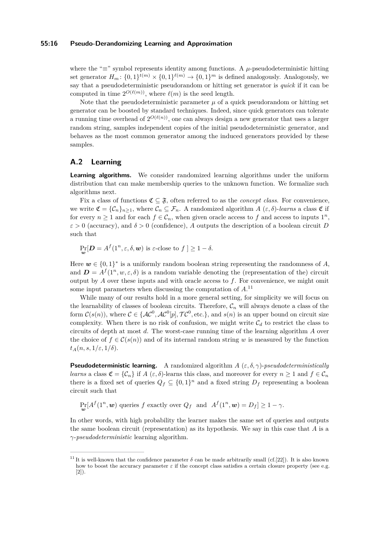## **55:16 Pseudo-Derandomizing Learning and Approximation**

where the " $\equiv$ " symbol represents identity among functions. A  $\mu$ -pseudodeterministic hitting set generator  $H_m: \{0,1\}^{t(m)} \times \{0,1\}^{\ell(m)} \to \{0,1\}^m$  is defined analogously. Analogously, we say that a pseudodeterministic pseudorandom or hitting set generator is *quick* if it can be computed in time  $2^{O(\ell(m))}$ , where  $\ell(m)$  is the seed length.

Note that the pseudodeterministic parameter  $\mu$  of a quick pseudorandom or hitting set generator can be boosted by standard techniques. Indeed, since quick generators can tolerate a running time overhead of  $2^{O(\ell(n))}$ , one can always design a new generator that uses a larger random string, samples independent copies of the initial pseudodeterministic generator, and behaves as the most common generator among the induced generators provided by these samples.

# <span id="page-15-0"></span>**A.2 Learning**

**Learning algorithms.** We consider randomized learning algorithms under the uniform distribution that can make membership queries to the unknown function. We formalize such algorithms next.

Fix a class of functions  $\mathfrak{C} \subseteq \mathfrak{F}$ , often referred to as the *concept class*. For convenience, we write  $\mathfrak{C} = {\mathcal{C}_n}_{n \geq 1}$ , where  $\mathcal{C}_n \subseteq \mathcal{F}_n$ . A randomized algorithm  $A(\varepsilon, \delta)$ -learns a class  $\mathfrak C$  if for every  $n \geq 1$  and for each  $f \in C_n$ , when given oracle access to f and access to inputs  $1^n$ ,  $\varepsilon > 0$  (accuracy), and  $\delta > 0$  (confidence), *A* outputs the description of a boolean circuit *D* such that

$$
\Pr_{\boldsymbol{w}}[\boldsymbol{D} = A^f(1^n, \varepsilon, \delta, \boldsymbol{w}) \text{ is } \varepsilon\text{-close to } f] \ge 1 - \delta.
$$

Here  $w \in \{0,1\}^*$  is a uniformly random boolean string representing the randomness of A, and  $\mathbf{D} = A^f(1^n, w, \varepsilon, \delta)$  is a random variable denoting the (representation of the) circuit output by  $A$  over these inputs and with oracle access to  $f$ . For convenience, we might omit some input parameters when discussing the computation of *A*. [11](#page-15-1)

While many of our results hold in a more general setting, for simplicity we will focus on the learnability of classes of boolean circuits. Therefore,  $\mathcal{C}_n$  will always denote a class of the form  $\mathcal{C}(s(n))$ , where  $\mathcal{C} \in \{\mathcal{AC}^0, \mathcal{AC}^0[p], \mathcal{TC}^0, \text{etc.}\},$  and  $s(n)$  is an upper bound on circuit size complexity. When there is no risk of confusion, we might write  $\mathcal{C}_d$  to restrict the class to circuits of depth at most *d*. The worst-case running time of the learning algorithm *A* over the choice of  $f \in \mathcal{C}(s(n))$  and of its internal random string *w* is measured by the function  $t_A(n, s, 1/\varepsilon, 1/\delta).$ 

**Pseudodeterministic learning.** A randomized algorithm  $A(\varepsilon, \delta, \gamma)$ -*pseudodeterministically learns* a class  $\mathfrak{C} = \{C_n\}$  if  $A \in \mathcal{S}$ . Jearns this class, and moreover for every  $n \geq 1$  and  $f \in \mathcal{C}_n$ there is a fixed set of queries  $Q_f \subseteq \{0,1\}^n$  and a fixed string  $D_f$  representing a boolean circuit such that

 $\Pr_{\mathbf{w}}[A^f(1^n, \mathbf{w})]$  queries *f* exactly over  $Q_f$  and  $A^f(1^n, \mathbf{w}) = D_f] \geq 1 - \gamma$ .

In other words, with high probability the learner makes the same set of queries and outputs the same boolean circuit (representation) as its hypothesis. We say in this case that *A* is a *γ*-*pseudodeterministic* learning algorithm.

<span id="page-15-1"></span><sup>&</sup>lt;sup>11</sup> It is well-known that the confidence parameter  $\delta$  can be made arbitrarily small (cf.[\[22\]](#page-13-18)). It is also known how to boost the accuracy parameter  $\varepsilon$  if the concept class satisfies a certain closure property (see e.g. [\[2\]](#page-12-12)).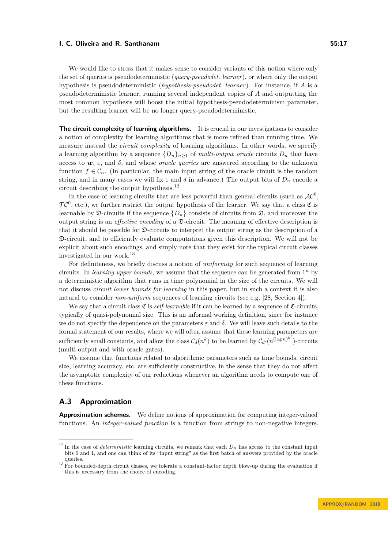We would like to stress that it makes sense to consider variants of this notion where only the set of queries is pseudodeterministic (*query-pseudodet. learner* ), or where only the output hypothesis is pseudodeterministic (*hypothesis-pseudodet. learner*). For instance, if *A* is a pseudodeterministic learner, running several independent copies of *A* and outputting the most common hypothesis will boost the initial hypothesis-pseudodeterminism parameter, but the resulting learner will be no longer query-pseudodeterministic.

**The circuit complexity of learning algorithms.** It is crucial in our investigations to consider a notion of complexity for learning algorithms that is more refined than running time. We measure instead the *circuit complexity* of learning algorithms. In other words, we specify a learning algorithm by a sequence  ${D_n}_{n>1}$  of *multi-output oracle* circuits  $D_n$  that have access to  $w, \varepsilon$ , and  $\delta$ , and whose *oracle queries* are answered according to the unknown function  $f \in \mathcal{C}_n$ . (In particular, the main input string of the oracle circuit is the random string, and in many cases we will fix  $\varepsilon$  and  $\delta$  in advance.) The output bits of  $D_n$  encode a circuit describing the output hypothesis.[12](#page-16-1)

In the case of learning circuits that are less powerful than general circuits (such as  $AC^0$ ,  $TC^0$ , etc.), we further restrict the output hypothesis of the learner. We say that a class  $\mathfrak C$  is learnable by  $\mathfrak{D}$ -circuits if the sequence  $\{D_n\}$  consists of circuits from  $\mathfrak{D}$ , and moreover the output string is an *effective encoding* of a D-circuit. The meaning of effective description is that it should be possible for D-circuits to interpret the output string as the description of a D-circuit, and to efficiently evaluate computations given this description. We will not be explicit about such encodings, and simply note that they exist for the typical circuit classes investigated in our work.<sup>[13](#page-16-2)</sup>

For definiteness, we briefly discuss a notion of *uniformity* for such sequence of learning circuits. In *learning upper bounds*, we assume that the sequence can be generated from  $1<sup>n</sup>$  by a deterministic algorithm that runs in time polynomial in the size of the circuits. We will not discuss *circuit lower bounds for learning* in this paper, but in such a context it is also natural to consider *non-uniform* sequences of learning circuits (see e.g. [\[28,](#page-13-9) Section 4]).

We say that a circuit class  $\mathfrak C$  is *self-learnable* if it can be learned by a sequence of  $\mathfrak C$ -circuits, typically of quasi-polynomial size. This is an informal working definition, since for instance we do not specify the dependence on the parameters  $\varepsilon$  and  $\delta$ . We will leave such details to the formal statement of our results, where we will often assume that these learning parameters are sufficiently small constants, and allow the class  $C_d(n^k)$  to be learned by  $C_{d'}(n^{(\log n)^{k'}})$ -circuits (multi-output and with oracle gates).

We assume that functions related to algorithmic parameters such as time bounds, circuit size, learning accuracy, etc. are sufficiently constructive, in the sense that they do not affect the asymptotic complexity of our reductions whenever an algorithm needs to compute one of these functions.

# <span id="page-16-0"></span>**A.3 Approximation**

**Approximation schemes.** We define notions of approximation for computing integer-valued functions. An *integer-valued function* is a function from strings to non-negative integers,

<span id="page-16-1"></span> $12 \text{ In the case of deterministic learning circuits, we remark that each } D_n$  has access to the constant input bits 0 and 1, and one can think of its "input string" as the first batch of answers provided by the oracle queries.

<span id="page-16-2"></span> $13$  For bounded-depth circuit classes, we tolerate a constant-factor depth blow-up during the evaluation if this is necessary from the choice of encoding.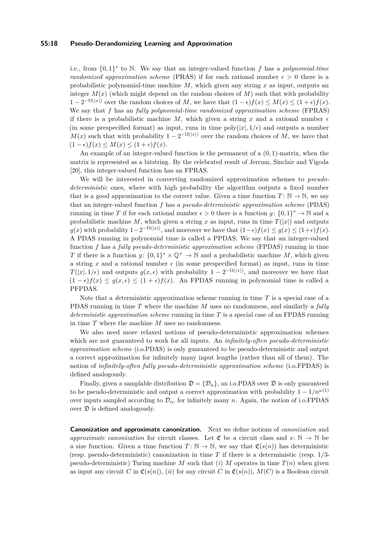## **55:18 Pseudo-Derandomizing Learning and Approximation**

i.e., from {0*,* 1} ∗ to N. We say that an integer-valued function *f* has a *polynomial-time randomized approximation scheme* (PRAS) if for each rational number  $\epsilon > 0$  there is a probabilistic polynomial-time machine *M*, which given any string *x* as input, outputs an integer  $M(x)$  (which might depend on the random choices of  $M$ ) such that with probability  $1 - 2^{-\Omega(|x|)}$  over the random choices of *M*, we have that  $(1 - \epsilon)f(x) \leq M(x) \leq (1 + \epsilon)f(x)$ . We say that *f* has an *fully polynomial-time randomized approximation scheme* (FPRAS) if there is a probabilistic machine M, which given a string x and a rational number  $\epsilon$ (in some prespecified format) as input, runs in time  $\text{poly}(|x|, 1/\epsilon)$  and outputs a number  $M(x)$  such that with probability  $1 - 2^{-\Omega(|x|)}$  over the random choices of *M*, we have that  $(1 - \epsilon)f(x) \leq M(x) \leq (1 + \epsilon)f(x).$ 

An example of an integer-valued function is the permanent of a (0*,* 1)-matrix, when the matrix is represented as a bitstring. By the celebrated result of Jerrum, Sinclair and Vigoda [\[20\]](#page-13-13), this integer-valued function has an FPRAS.

We will be interested in converting randomized approximation schemes to *pseudodeterministic* ones, where with high probability the algorithm outputs a fixed number that is a good approximation to the correct value. Given a time function  $T: \mathbb{N} \to \mathbb{N}$ , we say that an integer-valued function *f* has a *pseudo-deterministic approximation scheme* (PDAS) running in time *T* if for each rational number  $\epsilon > 0$  there is a function  $g: \{0,1\}^* \to \mathbb{N}$  and a probabilistic machine *M*, which given a string *x* as input, runs in time  $T(|x|)$  and outputs *g*(*x*) with probability  $1-2^{-\Omega(|x|)}$ , and moreover we have that  $(1-\epsilon)f(x) ≤ g(x) ≤ (1+\epsilon)f(x)$ . A PDAS running in polynomial time is called a PPDAS. We say that an integer-valued function *f* has a *fully pseudo-deterministic approximation scheme* (FPDAS) running in time *T* if there is a function  $g: \{0,1\}^* \times \mathbb{Q}^+ \to \mathbb{N}$  and a probabilistic machine *M*, which given a string x and a rational number  $\epsilon$  (in some prespecified format) as input, runs in time  $T(|x|, 1/\epsilon)$  and outputs  $g(x, \epsilon)$  with probability  $1 - 2^{-\Omega(|x|)}$ , and moreover we have that  $(1 - \epsilon)f(x) \leq g(x, \epsilon) \leq (1 + \epsilon)f(x)$ . An FPDAS running in polynomial time is called a PFPDAS.

Note that a *d*eterministic approximation scheme running in time *T* is a special case of a PDAS running in time *T* where the machine *M* uses no randomness, and similarly a *fully deterministic approximation scheme* running in time *T* is a special case of an FPDAS running in time *T* where the machine *M* uses no randomness.

We also need more relaxed notions of pseudo-deterministic approximation schemes which are not guaranteed to work for all inputs. An *infinitely-often pseudo-deterministic approximation scheme* (i.o.PDAS) is only guaranteed to be pseudo-deterministic and output a correct approximation for infinitely many input lengths (rather than all of them). The notion of *infinitely-often fully pseudo-deterministic approximation scheme* (i.o.FPDAS) is defined analogously.

Finally, given a samplable distribution  $\mathfrak{D} = {\mathcal{D}_n}$ , an i.o.PDAS over  $\mathfrak{D}$  is only guaranteed to be pseudo-deterministic and output a correct approximation with probability  $1 - 1/n^{\omega(1)}$ over inputs sampled according to  $\mathcal{D}_n$ , for infinitely many *n*. Again, the notion of i.o.FPDAS over  $\mathfrak D$  is defined analogously.

**Canonization and approximate canonization.** Next we define notions of *canonization* and *approximate canonization* for circuit classes. Let  $\mathfrak{C}$  be a circuit class and  $s: \mathbb{N} \to \mathbb{N}$  be a size function. Given a time function  $T: \mathbb{N} \to \mathbb{N}$ , we say that  $\mathfrak{C}(s(n))$  has deterministic (resp. pseudo-deterministic) canonization in time *T* if there is a deterministic (resp. 1*/*3 pseudo-deterministic) Turing machine *M* such that  $(i)$  *M* operates in time  $T(n)$  when given as input any circuit *C* in  $\mathfrak{C}(s(n))$ , (*ii*) for any circuit *C* in  $\mathfrak{C}(s(n))$ ,  $M(C)$  is a Boolean circuit